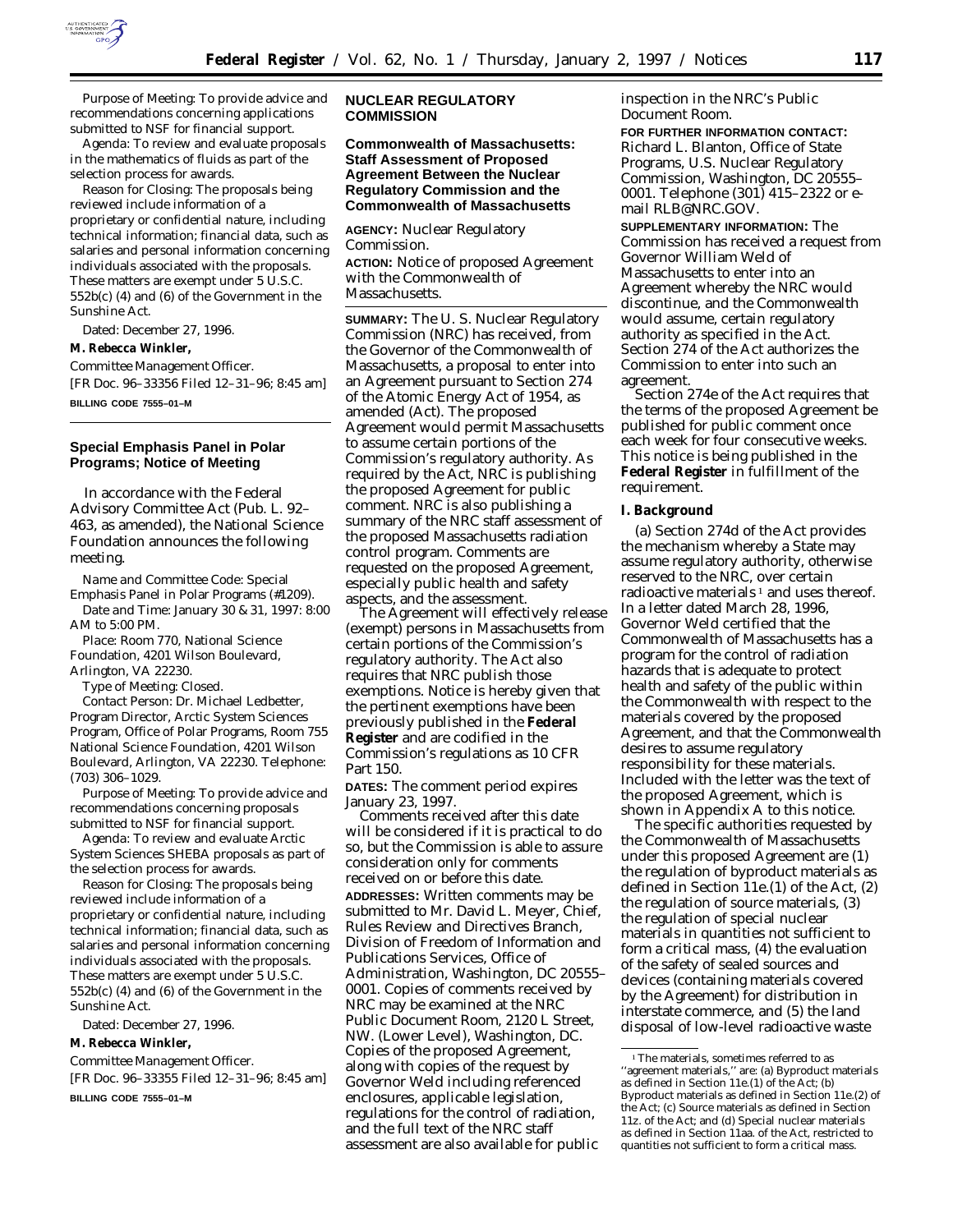

*Purpose of Meeting:* To provide advice and recommendations concerning applications submitted to NSF for financial support.

*Agenda:* To review and evaluate proposals in the mathematics of fluids as part of the selection process for awards.

*Reason for Closing:* The proposals being reviewed include information of a proprietary or confidential nature, including technical information; financial data, such as salaries and personal information concerning individuals associated with the proposals. These matters are exempt under 5 U.S.C. 552b(c) (4) and (6) of the Government in the Sunshine Act.

Dated: December 27, 1996.

**M. Rebecca Winkler,**

*Committee Management Officer.*

[FR Doc. 96–33356 Filed 12–31–96; 8:45 am]

**BILLING CODE 7555–01–M**

## **Special Emphasis Panel in Polar Programs; Notice of Meeting**

In accordance with the Federal Advisory Committee Act (Pub. L. 92– 463, as amended), the National Science Foundation announces the following meeting.

*Name and Committee Code:* Special Emphasis Panel in Polar Programs (#1209).

*Date and Time:* January 30 & 31, 1997: 8:00 AM to 5:00 PM.

*Place:* Room 770, National Science Foundation, 4201 Wilson Boulevard, Arlington, VA 22230.

*Type of Meeting:* Closed.

*Contact Person:* Dr. Michael Ledbetter, Program Director, Arctic System Sciences Program, Office of Polar Programs, Room 755 National Science Foundation, 4201 Wilson Boulevard, Arlington, VA 22230. Telephone: (703) 306–1029.

*Purpose of Meeting:* To provide advice and recommendations concerning proposals submitted to NSF for financial support.

*Agenda:* To review and evaluate *Arctic System Sciences SHEBA* proposals as part of the selection process for awards.

*Reason for Closing:* The proposals being reviewed include information of a proprietary or confidential nature, including technical information; financial data, such as salaries and personal information concerning individuals associated with the proposals. These matters are exempt under 5 U.S.C. 552b(c) (4) and (6) of the Government in the Sunshine Act.

Dated: December 27, 1996.

**M. Rebecca Winkler,**

*Committee Management Officer.* [FR Doc. 96–33355 Filed 12–31–96; 8:45 am]

**BILLING CODE 7555–01–M**

## **NUCLEAR REGULATORY COMMISSION**

## **Commonwealth of Massachusetts: Staff Assessment of Proposed Agreement Between the Nuclear Regulatory Commission and the Commonwealth of Massachusetts**

**AGENCY:** Nuclear Regulatory Commission. **ACTION:** Notice of proposed Agreement with the Commonwealth of Massachusetts.

**SUMMARY:** The U. S. Nuclear Regulatory Commission (NRC) has received, from the Governor of the Commonwealth of Massachusetts, a proposal to enter into an Agreement pursuant to Section 274 of the Atomic Energy Act of 1954, as amended (Act). The proposed Agreement would permit Massachusetts to assume certain portions of the Commission's regulatory authority. As required by the Act, NRC is publishing the proposed Agreement for public comment. NRC is also publishing a summary of the NRC staff assessment of the proposed Massachusetts radiation control program. Comments are requested on the proposed Agreement, especially public health and safety aspects, and the assessment.

The Agreement will effectively release (exempt) persons in Massachusetts from certain portions of the Commission's regulatory authority. The Act also requires that NRC publish those exemptions. Notice is hereby given that the pertinent exemptions have been previously published in the **Federal Register** and are codified in the Commission's regulations as 10 CFR Part 150.

**DATES:** The comment period expires January 23, 1997.

Comments received after this date will be considered if it is practical to do so, but the Commission is able to assure consideration only for comments received on or before this date. **ADDRESSES:** Written comments may be submitted to Mr. David L. Meyer, Chief, Rules Review and Directives Branch, Division of Freedom of Information and Publications Services, Office of Administration, Washington, DC 20555– 0001. Copies of comments received by NRC may be examined at the NRC Public Document Room, 2120 L Street, NW. (Lower Level), Washington, DC. Copies of the proposed Agreement, along with copies of the request by Governor Weld including referenced enclosures, applicable legislation, regulations for the control of radiation, and the full text of the NRC staff assessment are also available for public

inspection in the NRC's Public Document Room.

**FOR FURTHER INFORMATION CONTACT:** Richard L. Blanton, Office of State Programs, U.S. Nuclear Regulatory Commission, Washington, DC 20555– 0001. Telephone (301) 415–2322 or email RLB@NRC.GOV.

**SUPPLEMENTARY INFORMATION:** The Commission has received a request from Governor William Weld of Massachusetts to enter into an Agreement whereby the NRC would discontinue, and the Commonwealth would assume, certain regulatory authority as specified in the Act. Section 274 of the Act authorizes the Commission to enter into such an agreement.

Section 274e of the Act requires that the terms of the proposed Agreement be published for public comment once each week for four consecutive weeks. This notice is being published in the **Federal Register** in fulfillment of the requirement.

#### **I. Background**

(a) Section 274d of the Act provides the mechanism whereby a State may assume regulatory authority, otherwise reserved to the NRC, over certain radioactive materials<sup> $1$ </sup> and uses thereof. In a letter dated March 28, 1996, Governor Weld certified that the Commonwealth of Massachusetts has a program for the control of radiation hazards that is adequate to protect health and safety of the public within the Commonwealth with respect to the materials covered by the proposed Agreement, and that the Commonwealth desires to assume regulatory responsibility for these materials. Included with the letter was the text of the proposed Agreement, which is shown in Appendix A to this notice.

The specific authorities requested by the Commonwealth of Massachusetts under this proposed Agreement are (1) the regulation of byproduct materials as defined in Section 11e.(1) of the Act, (2) the regulation of source materials, (3) the regulation of special nuclear materials in quantities not sufficient to form a critical mass, (4) the evaluation of the safety of sealed sources and devices (containing materials covered by the Agreement) for distribution in interstate commerce, and (5) the land disposal of low-level radioactive waste

 $^{\rm 1}$  The materials, sometimes referred to as ''agreement materials,'' are: (a) Byproduct materials as defined in Section 11e.(1) of the Act; (b) Byproduct materials as defined in Section 11e.(2) of the Act; (c) Source materials as defined in Section 11z. of the Act; and (d) Special nuclear materials as defined in Section 11aa. of the Act, restricted to quantities not sufficient to form a critical mass.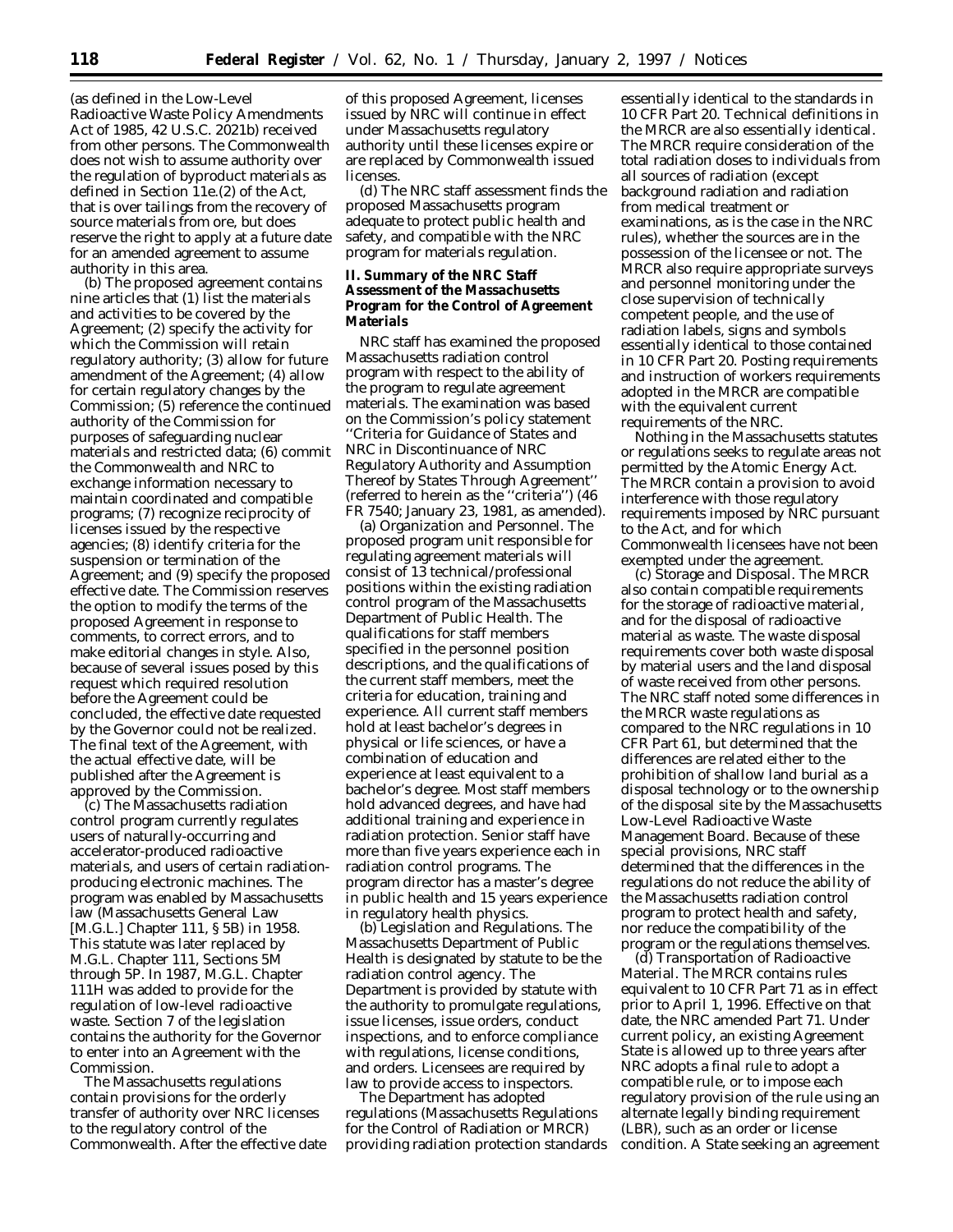(as defined in the Low-Level Radioactive Waste Policy Amendments Act of 1985, 42 U.S.C. 2021b) received from other persons. The Commonwealth does not wish to assume authority over the regulation of byproduct materials as defined in Section 11e.(2) of the Act, that is over tailings from the recovery of source materials from ore, but does reserve the right to apply at a future date for an amended agreement to assume authority in this area.

(b) The proposed agreement contains nine articles that (1) list the materials and activities to be covered by the Agreement; (2) specify the activity for which the Commission will retain regulatory authority; (3) allow for future amendment of the Agreement; (4) allow for certain regulatory changes by the Commission; (5) reference the continued authority of the Commission for purposes of safeguarding nuclear materials and restricted data; (6) commit the Commonwealth and NRC to exchange information necessary to maintain coordinated and compatible programs; (7) recognize reciprocity of licenses issued by the respective agencies; (8) identify criteria for the suspension or termination of the Agreement; and (9) specify the proposed effective date. The Commission reserves the option to modify the terms of the proposed Agreement in response to comments, to correct errors, and to make editorial changes in style. Also, because of several issues posed by this request which required resolution before the Agreement could be concluded, the effective date requested by the Governor could not be realized. The final text of the Agreement, with the actual effective date, will be published after the Agreement is approved by the Commission.

(c) The Massachusetts radiation control program currently regulates users of naturally-occurring and accelerator-produced radioactive materials, and users of certain radiationproducing electronic machines. The program was enabled by Massachusetts law (Massachusetts General Law [M.G.L.] Chapter 111, § 5B) in 1958. This statute was later replaced by M.G.L. Chapter 111, Sections 5M through 5P. In 1987, M.G.L. Chapter 111H was added to provide for the regulation of low-level radioactive waste. Section 7 of the legislation contains the authority for the Governor to enter into an Agreement with the Commission.

The Massachusetts regulations contain provisions for the orderly transfer of authority over NRC licenses to the regulatory control of the Commonwealth. After the effective date

of this proposed Agreement, licenses issued by NRC will continue in effect under Massachusetts regulatory authority until these licenses expire or are replaced by Commonwealth issued licenses.

(d) The NRC staff assessment finds the proposed Massachusetts program adequate to protect public health and safety, and compatible with the NRC program for materials regulation.

**II. Summary of the NRC Staff Assessment of the Massachusetts Program for the Control of Agreement Materials**

NRC staff has examined the proposed Massachusetts radiation control program with respect to the ability of the program to regulate agreement materials. The examination was based on the Commission's policy statement *''Criteria for Guidance of States and NRC in Discontinuance of NRC Regulatory Authority and Assumption Thereof by States Through Agreement''* (referred to herein as the ''criteria'') (46 FR 7540; January 23, 1981, as amended).

(a) *Organization and Personnel.* The proposed program unit responsible for regulating agreement materials will consist of 13 technical/professional positions within the existing radiation control program of the Massachusetts Department of Public Health. The qualifications for staff members specified in the personnel position descriptions, and the qualifications of the current staff members, meet the criteria for education, training and experience. All current staff members hold at least bachelor's degrees in physical or life sciences, or have a combination of education and experience at least equivalent to a bachelor's degree. Most staff members hold advanced degrees, and have had additional training and experience in radiation protection. Senior staff have more than five years experience each in radiation control programs. The program director has a master's degree in public health and 15 years experience in regulatory health physics.

(b) *Legislation and Regulations.* The Massachusetts Department of Public Health is designated by statute to be the radiation control agency. The Department is provided by statute with the authority to promulgate regulations, issue licenses, issue orders, conduct inspections, and to enforce compliance with regulations, license conditions, and orders. Licensees are required by law to provide access to inspectors.

The Department has adopted regulations (Massachusetts Regulations for the Control of Radiation or MRCR) providing radiation protection standards

essentially identical to the standards in 10 CFR Part 20. Technical definitions in the MRCR are also essentially identical. The MRCR require consideration of the total radiation doses to individuals from all sources of radiation (except background radiation and radiation from medical treatment or examinations, as is the case in the NRC rules), whether the sources are in the possession of the licensee or not. The MRCR also require appropriate surveys and personnel monitoring under the close supervision of technically competent people, and the use of radiation labels, signs and symbols essentially identical to those contained in 10 CFR Part 20. Posting requirements and instruction of workers requirements adopted in the MRCR are compatible with the equivalent current requirements of the NRC.

Nothing in the Massachusetts statutes or regulations seeks to regulate areas not permitted by the Atomic Energy Act. The MRCR contain a provision to avoid interference with those regulatory requirements imposed by NRC pursuant to the Act, and for which Commonwealth licensees have not been exempted under the agreement.

(c) *Storage and Disposal.* The MRCR also contain compatible requirements for the storage of radioactive material, and for the disposal of radioactive material as waste. The waste disposal requirements cover both waste disposal by material users and the land disposal of waste received from other persons. The NRC staff noted some differences in the MRCR waste regulations as compared to the NRC regulations in 10 CFR Part 61, but determined that the differences are related either to the prohibition of shallow land burial as a disposal technology or to the ownership of the disposal site by the Massachusetts Low-Level Radioactive Waste Management Board. Because of these special provisions, NRC staff determined that the differences in the regulations do not reduce the ability of the Massachusetts radiation control program to protect health and safety, nor reduce the compatibility of the program or the regulations themselves.

(d) *Transportation of Radioactive Material.* The MRCR contains rules equivalent to 10 CFR Part 71 as in effect prior to April 1, 1996. Effective on that date, the NRC amended Part 71. Under current policy, an existing Agreement State is allowed up to three years after NRC adopts a final rule to adopt a compatible rule, or to impose each regulatory provision of the rule using an alternate legally binding requirement (LBR), such as an order or license condition. A State seeking an agreement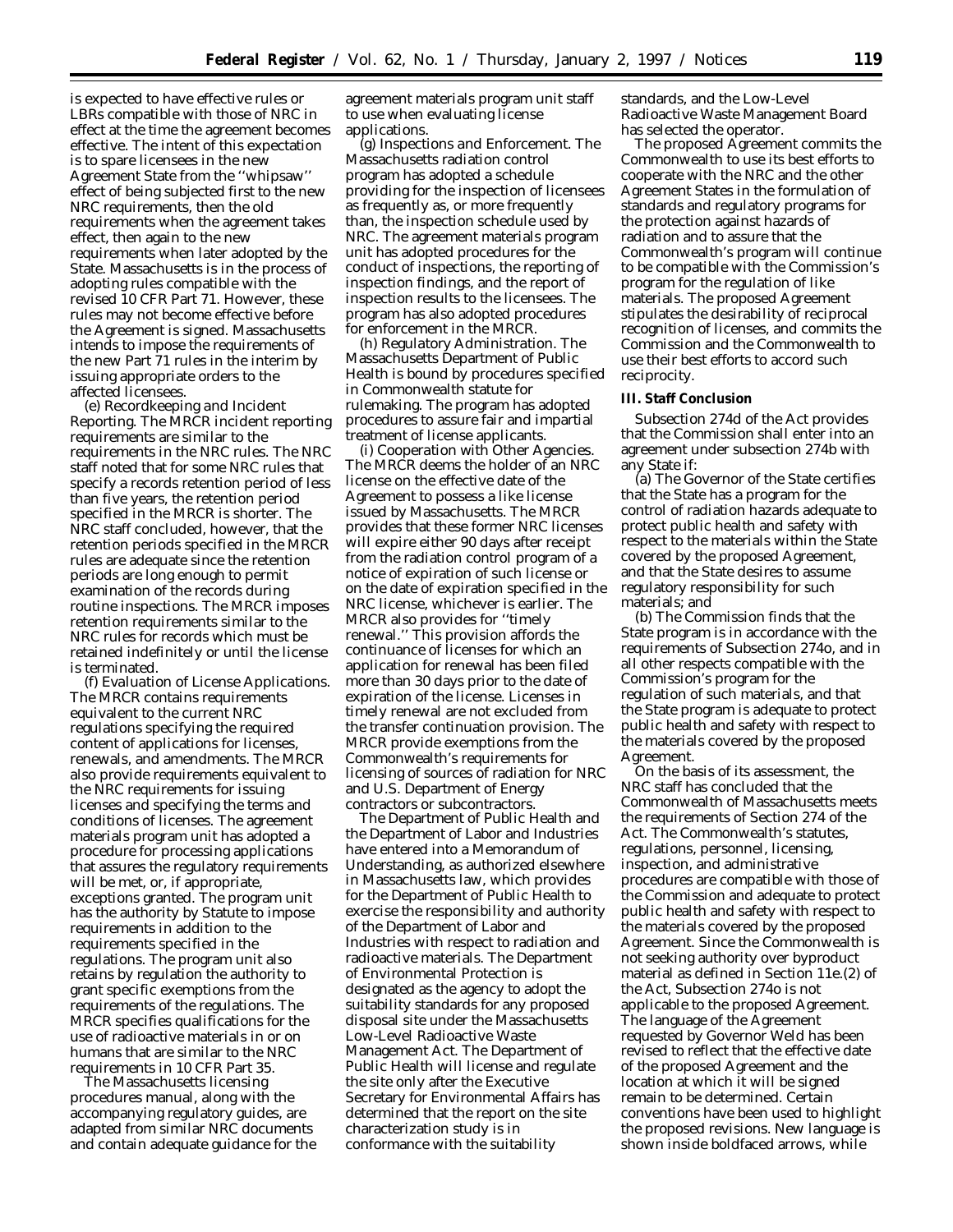is expected to have effective rules or LBRs compatible with those of NRC in effect at the time the agreement becomes effective. The intent of this expectation is to spare licensees in the new Agreement State from the ''whipsaw'' effect of being subjected first to the new NRC requirements, then the old requirements when the agreement takes effect, then again to the new requirements when later adopted by the State. Massachusetts is in the process of adopting rules compatible with the revised 10 CFR Part 71. However, these rules may not become effective before the Agreement is signed. Massachusetts intends to impose the requirements of the new Part 71 rules in the interim by issuing appropriate orders to the affected licensees.

(e) *Recordkeeping and Incident Reporting.* The MRCR incident reporting requirements are similar to the requirements in the NRC rules. The NRC staff noted that for some NRC rules that specify a records retention period of less than five years, the retention period specified in the MRCR is shorter. The NRC staff concluded, however, that the retention periods specified in the MRCR rules are adequate since the retention periods are long enough to permit examination of the records during routine inspections. The MRCR imposes retention requirements similar to the NRC rules for records which must be retained indefinitely or until the license is terminated.

(f) *Evaluation of License Applications.* The MRCR contains requirements equivalent to the current NRC regulations specifying the required content of applications for licenses, renewals, and amendments. The MRCR also provide requirements equivalent to the NRC requirements for issuing licenses and specifying the terms and conditions of licenses. The agreement materials program unit has adopted a procedure for processing applications that assures the regulatory requirements will be met, or, if appropriate, exceptions granted. The program unit has the authority by Statute to impose requirements in addition to the requirements specified in the regulations. The program unit also retains by regulation the authority to grant specific exemptions from the requirements of the regulations. The MRCR specifies qualifications for the use of radioactive materials in or on humans that are similar to the NRC requirements in 10 CFR Part 35.

The Massachusetts licensing procedures manual, along with the accompanying regulatory guides, are adapted from similar NRC documents and contain adequate guidance for the

agreement materials program unit staff to use when evaluating license applications.

(g) *Inspections and Enforcement.* The Massachusetts radiation control program has adopted a schedule providing for the inspection of licensees as frequently as, or more frequently than, the inspection schedule used by NRC. The agreement materials program unit has adopted procedures for the conduct of inspections, the reporting of inspection findings, and the report of inspection results to the licensees. The program has also adopted procedures for enforcement in the MRCR.

(h) *Regulatory Administration.* The Massachusetts Department of Public Health is bound by procedures specified in Commonwealth statute for rulemaking. The program has adopted procedures to assure fair and impartial treatment of license applicants.

(i) *Cooperation with Other Agencies.* The MRCR deems the holder of an NRC license on the effective date of the Agreement to possess a like license issued by Massachusetts. The MRCR provides that these former NRC licenses will expire either 90 days after receipt from the radiation control program of a notice of expiration of such license or on the date of expiration specified in the NRC license, whichever is earlier. The MRCR also provides for ''timely renewal.'' This provision affords the continuance of licenses for which an application for renewal has been filed more than 30 days prior to the date of expiration of the license. Licenses in timely renewal are not excluded from the transfer continuation provision. The MRCR provide exemptions from the Commonwealth's requirements for licensing of sources of radiation for NRC and U.S. Department of Energy contractors or subcontractors.

The Department of Public Health and the Department of Labor and Industries have entered into a Memorandum of Understanding, as authorized elsewhere in Massachusetts law, which provides for the Department of Public Health to exercise the responsibility and authority of the Department of Labor and Industries with respect to radiation and radioactive materials. The Department of Environmental Protection is designated as the agency to adopt the suitability standards for any proposed disposal site under the Massachusetts Low-Level Radioactive Waste Management Act. The Department of Public Health will license and regulate the site only after the Executive Secretary for Environmental Affairs has determined that the report on the site characterization study is in conformance with the suitability

standards, and the Low-Level Radioactive Waste Management Board has selected the operator.

The proposed Agreement commits the Commonwealth to use its best efforts to cooperate with the NRC and the other Agreement States in the formulation of standards and regulatory programs for the protection against hazards of radiation and to assure that the Commonwealth's program will continue to be compatible with the Commission's program for the regulation of like materials. The proposed Agreement stipulates the desirability of reciprocal recognition of licenses, and commits the Commission and the Commonwealth to use their best efforts to accord such reciprocity.

#### **III. Staff Conclusion**

Subsection 274d of the Act provides that the Commission shall enter into an agreement under subsection 274b with any State if:

(a) The Governor of the State certifies that the State has a program for the control of radiation hazards adequate to protect public health and safety with respect to the materials within the State covered by the proposed Agreement, and that the State desires to assume regulatory responsibility for such materials; and

(b) The Commission finds that the State program is in accordance with the requirements of Subsection 274o, and in all other respects compatible with the Commission's program for the regulation of such materials, and that the State program is adequate to protect public health and safety with respect to the materials covered by the proposed Agreement.

On the basis of its assessment, the NRC staff has concluded that the Commonwealth of Massachusetts meets the requirements of Section 274 of the Act. The Commonwealth's statutes, regulations, personnel, licensing, inspection, and administrative procedures are compatible with those of the Commission and adequate to protect public health and safety with respect to the materials covered by the proposed Agreement. Since the Commonwealth is not seeking authority over byproduct material as defined in Section 11e.(2) of the Act, Subsection 274o is not applicable to the proposed Agreement. The language of the Agreement requested by Governor Weld has been revised to reflect that the effective date of the proposed Agreement and the location at which it will be signed remain to be determined. Certain conventions have been used to highlight the proposed revisions. New language is shown inside boldfaced arrows, while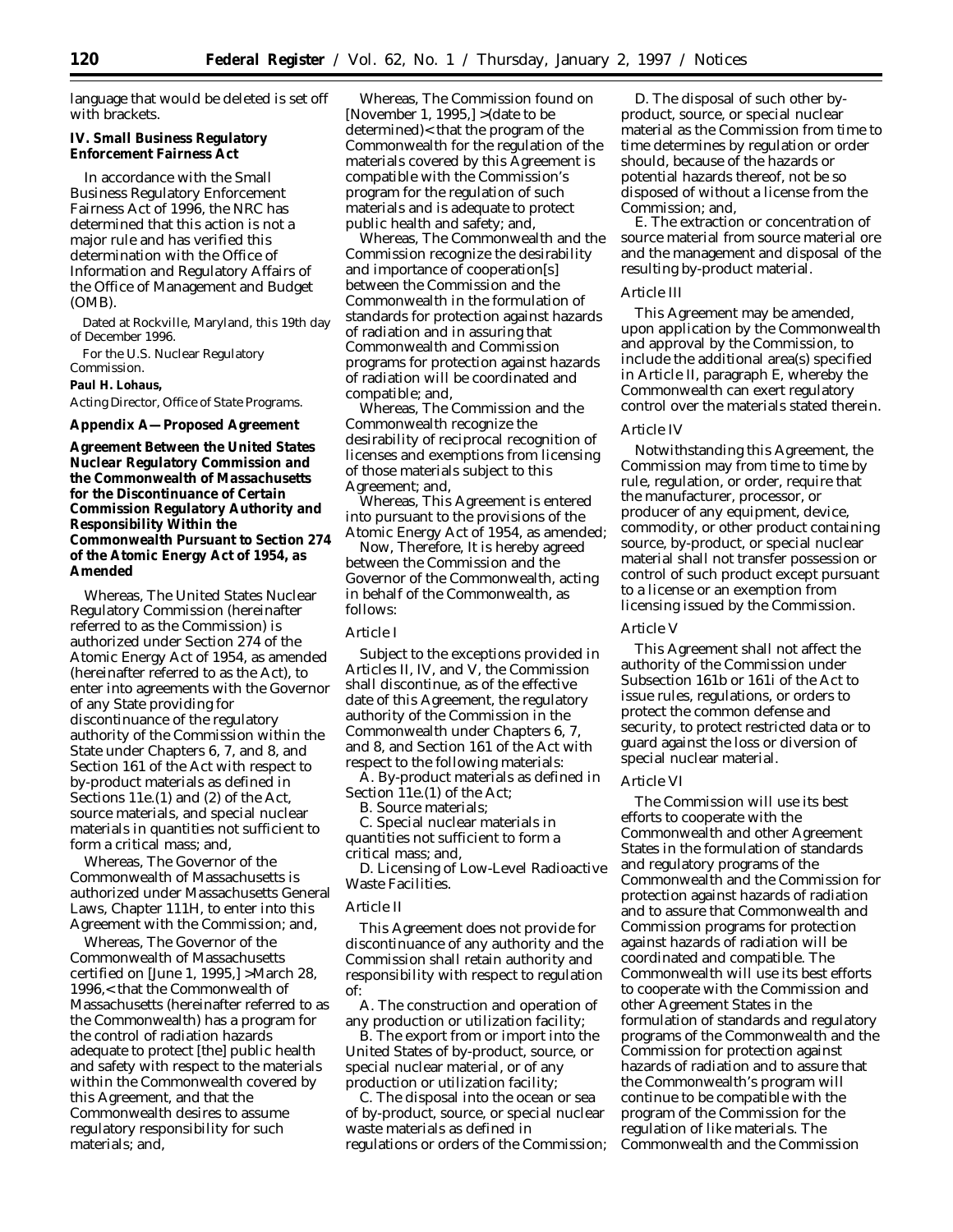language that would be deleted is set off with brackets.

**IV. Small Business Regulatory Enforcement Fairness Act**

In accordance with the Small Business Regulatory Enforcement Fairness Act of 1996, the NRC has determined that this action is not a major rule and has verified this determination with the Office of Information and Regulatory Affairs of the Office of Management and Budget (OMB).

Dated at Rockville, Maryland, this 19th day of December 1996.

For the U.S. Nuclear Regulatory

Commission. **Paul H. Lohaus,**

# *Acting Director, Office of State Programs.*

## **Appendix A—Proposed Agreement**

**Agreement Between the United States Nuclear Regulatory Commission and the Commonwealth of Massachusetts for the Discontinuance of Certain Commission Regulatory Authority and Responsibility Within the Commonwealth Pursuant to Section 274 of the Atomic Energy Act of 1954, as Amended**

Whereas, The United States Nuclear Regulatory Commission (hereinafter referred to as the Commission) is authorized under Section 274 of the Atomic Energy Act of 1954, as amended (hereinafter referred to as the Act), to enter into agreements with the Governor of any State providing for discontinuance of the regulatory authority of the Commission within the State under Chapters 6, 7, and 8, and Section 161 of the Act with respect to by-product materials as defined in Sections 11e.(1) and (2) of the Act, source materials, and special nuclear materials in quantities not sufficient to form a critical mass; and,

Whereas, The Governor of the Commonwealth of Massachusetts is authorized under Massachusetts General Laws, Chapter 111H, to enter into this Agreement with the Commission; and,

Whereas, The Governor of the Commonwealth of Massachusetts certified on [June 1, 1995,] >March 28, 1996,< that the Commonwealth of Massachusetts (hereinafter referred to as the Commonwealth) has a program for the control of radiation hazards adequate to protect [the] public health and safety with respect to the materials within the Commonwealth covered by this Agreement, and that the Commonwealth desires to assume regulatory responsibility for such materials; and,

Whereas, The Commission found on [November 1, 1995,] >(date to be determined)< that the program of the Commonwealth for the regulation of the materials covered by this Agreement is compatible with the Commission's program for the regulation of such materials and is adequate to protect public health and safety; and,

Whereas, The Commonwealth and the Commission recognize the desirability and importance of cooperation[s] between the Commission and the Commonwealth in the formulation of standards for protection against hazards of radiation and in assuring that Commonwealth and Commission programs for protection against hazards of radiation will be coordinated and compatible; and,

Whereas, The Commission and the Commonwealth recognize the desirability of reciprocal recognition of licenses and exemptions from licensing of those materials subject to this Agreement; and,

Whereas, This Agreement is entered into pursuant to the provisions of the Atomic Energy Act of 1954, as amended;

Now, Therefore, It is hereby agreed between the Commission and the Governor of the Commonwealth, acting in behalf of the Commonwealth, as follows:

## *Article I*

Subject to the exceptions provided in Articles II, IV, and V, the Commission shall discontinue, as of the effective date of this Agreement, the regulatory authority of the Commission in the Commonwealth under Chapters 6, 7, and 8, and Section 161 of the Act with respect to the following materials:

A. By-product materials as defined in Section 11e.(1) of the Act;

B. Source materials;

C. Special nuclear materials in quantities not sufficient to form a critical mass; and,

D. Licensing of Low-Level Radioactive Waste Facilities.

### *Article II*

This Agreement does not provide for discontinuance of any authority and the Commission shall retain authority and responsibility with respect to regulation of:

A. The construction and operation of any production or utilization facility;

B. The export from or import into the United States of by-product, source, or special nuclear material, or of any production or utilization facility;

C. The disposal into the ocean or sea of by-product, source, or special nuclear waste materials as defined in regulations or orders of the Commission;

D. The disposal of such other byproduct, source, or special nuclear material as the Commission from time to time determines by regulation or order should, because of the hazards or potential hazards thereof, not be so disposed of without a license from the Commission; and,

E. The extraction or concentration of source material from source material ore and the management and disposal of the resulting by-product material.

## *Article III*

This Agreement may be amended, upon application by the Commonwealth and approval by the Commission, to include the additional area(s) specified in Article II, paragraph E, whereby the Commonwealth can exert regulatory control over the materials stated therein.

#### *Article IV*

Notwithstanding this Agreement, the Commission may from time to time by rule, regulation, or order, require that the manufacturer, processor, or producer of any equipment, device, commodity, or other product containing source, by-product, or special nuclear material shall not transfer possession or control of such product except pursuant to a license or an exemption from licensing issued by the Commission.

## *Article V*

This Agreement shall not affect the authority of the Commission under Subsection 161b or 161i of the Act to issue rules, regulations, or orders to protect the common defense and security, to protect restricted data or to guard against the loss or diversion of special nuclear material.

#### *Article VI*

The Commission will use its best efforts to cooperate with the Commonwealth and other Agreement States in the formulation of standards and regulatory programs of the Commonwealth and the Commission for protection against hazards of radiation and to assure that Commonwealth and Commission programs for protection against hazards of radiation will be coordinated and compatible. The Commonwealth will use its best efforts to cooperate with the Commission and other Agreement States in the formulation of standards and regulatory programs of the Commonwealth and the Commission for protection against hazards of radiation and to assure that the Commonwealth's program will continue to be compatible with the program of the Commission for the regulation of like materials. The Commonwealth and the Commission